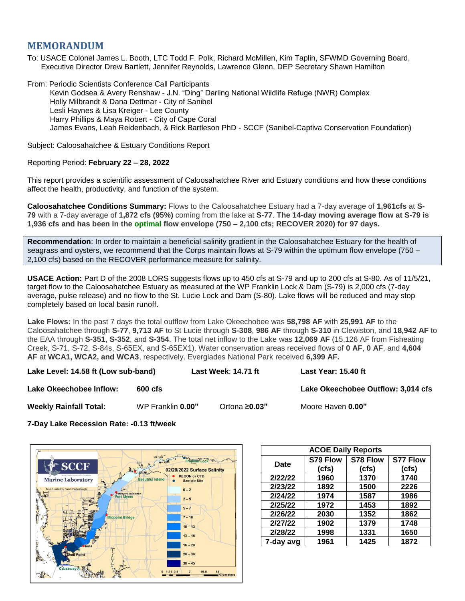# **MEMORANDUM**

To: USACE Colonel James L. Booth, LTC Todd F. Polk, Richard McMillen, Kim Taplin, SFWMD Governing Board, Executive Director Drew Bartlett, Jennifer Reynolds, Lawrence Glenn, DEP Secretary Shawn Hamilton

From: Periodic Scientists Conference Call Participants Kevin Godsea & Avery Renshaw - J.N. "Ding" Darling National Wildlife Refuge (NWR) Complex Holly Milbrandt & Dana Dettmar - City of Sanibel Lesli Haynes & Lisa Kreiger - Lee County Harry Phillips & Maya Robert - City of Cape Coral James Evans, Leah Reidenbach, & Rick Bartleson PhD - SCCF (Sanibel-Captiva Conservation Foundation)

Subject: Caloosahatchee & Estuary Conditions Report

## Reporting Period: **February 22 – 28, 2022**

This report provides a scientific assessment of Caloosahatchee River and Estuary conditions and how these conditions affect the health, productivity, and function of the system.

**Caloosahatchee Conditions Summary:** Flows to the Caloosahatchee Estuary had a 7-day average of **1,961cfs** at **S-79** with a 7-day average of **1,872 cfs (95%)** coming from the lake at **S-77**. **The 14-day moving average flow at S-79 is 1,936 cfs and has been in the optimal flow envelope (750 – 2,100 cfs; RECOVER 2020) for 97 days.**

**Recommendation**: In order to maintain a beneficial salinity gradient in the Caloosahatchee Estuary for the health of seagrass and oysters, we recommend that the Corps maintain flows at S-79 within the optimum flow envelope (750 – 2,100 cfs) based on the RECOVER performance measure for salinity.

**USACE Action:** Part D of the 2008 LORS suggests flows up to 450 cfs at S-79 and up to 200 cfs at S-80. As of 11/5/21, target flow to the Caloosahatchee Estuary as measured at the WP Franklin Lock & Dam (S-79) is 2,000 cfs (7-day average, pulse release) and no flow to the St. Lucie Lock and Dam (S-80). Lake flows will be reduced and may stop completely based on local basin runoff.

**Lake Flows:** In the past 7 days the total outflow from Lake Okeechobee was **58,798 AF** with **25,991 AF** to the Caloosahatchee through **S-77**, **9,713 AF** to St Lucie through **S-308**, **986 AF** through **S-310** in Clewiston, and **18,942 AF** to the EAA through **S-351**, **S-352**, and **S-354**. The total net inflow to the Lake was **12,069 AF** (15,126 AF from Fisheating Creek, S-71, S-72, S-84s, S-65EX, and S-65EX1). Water conservation areas received flows of **0 AF**, **0 AF**, and **4,604 AF** at **WCA1, WCA2, and WCA3**, respectively. Everglades National Park received **6,399 AF.**

**Lake Level: 14.58 ft (Low sub-band) Last Week**: **14.71 ft Last Year: 15.40 ft**

**Lake Okeechobee Inflow:**  $\qquad 600 \text{ cfs}$  **Lake Okeechobee Outflow: 3,014 cfs** 

**Weekly Rainfall Total:** WP Franklin **0.00"** Ortona **≥0.03"** Moore Haven **0.00"**

**7-Day Lake Recession Rate: -0.13 ft/week**



| <b>ACOE Daily Reports</b> |          |          |          |  |  |  |
|---------------------------|----------|----------|----------|--|--|--|
| Date                      | S79 Flow | S78 Flow | S77 Flow |  |  |  |
|                           | (cfs)    | (cfs)    | (cfs)    |  |  |  |
| 2/22/22                   | 1960     | 1370     | 1740     |  |  |  |
| 2/23/22                   | 1892     | 1500     | 2226     |  |  |  |
| 2/24/22                   | 1974     | 1587     | 1986     |  |  |  |
| 2/25/22                   | 1972     | 1453     | 1892     |  |  |  |
| 2/26/22                   | 2030     | 1352     | 1862     |  |  |  |
| 2/27/22                   | 1902     | 1379     | 1748     |  |  |  |
| 2/28/22                   | 1998     | 1331     | 1650     |  |  |  |
| 7-day avg                 | 1961     | 1425     | 1872     |  |  |  |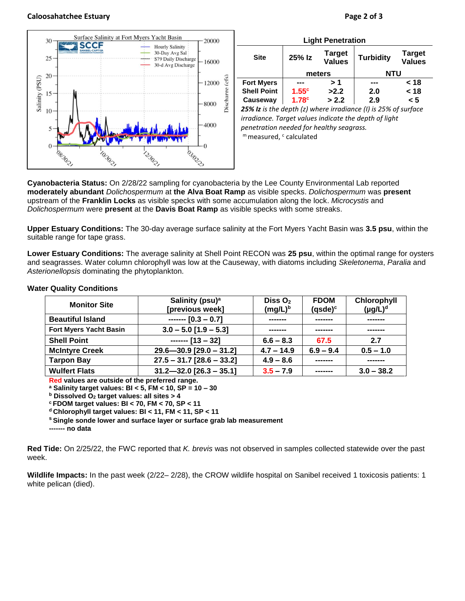#### **Caloosahatchee Estuary Page 2 of 3**



| <b>Site</b>        | 25% Iz            | <b>Target</b><br><b>Values</b> | <b>Turbidity</b> | <b>Target</b><br><b>Values</b> |
|--------------------|-------------------|--------------------------------|------------------|--------------------------------|
|                    | meters            |                                | <b>NTU</b>       |                                |
| <b>Fort Myers</b>  |                   | >1                             |                  | < 18                           |
| <b>Shell Point</b> | 1.55c             | >2.2                           | 2.0              | < 18                           |
| Causeway           | 1.78 <sup>c</sup> | > 2.2                          | 2.9              | < 5                            |

*irradiance. Target values indicate the depth of light penetration needed for healthy seagrass.* m measured, c calculated

**Cyanobacteria Status:** On 2/28/22 sampling for cyanobacteria by the Lee County Environmental Lab reported **moderately abundant** *Dolichospermum* at **the Alva Boat Ramp** as visible specks. *Dolichospermum* was **present** upstream of the **Franklin Locks** as visible specks with some accumulation along the lock. *Microcystis* and *Dolichospermum* were **present** at the **Davis Boat Ramp** as visible specks with some streaks.

**Upper Estuary Conditions:** The 30-day average surface salinity at the Fort Myers Yacht Basin was **3.5 psu**, within the suitable range for tape grass.

**Lower Estuary Conditions:** The average salinity at Shell Point RECON was **25 psu**, within the optimal range for oysters and seagrasses. Water column chlorophyll was low at the Causeway, with diatoms including *Skeletonema*, *Paralia* and *Asterionellopsis* dominating the phytoplankton.

| <b>Monitor Site</b>           | Salinity (psu) <sup>a</sup><br>[previous week] | Diss $O2$<br>$(mg/L)^b$ | <b>FDOM</b><br>$(q$ sde $)^c$ | Chlorophyll<br>$(\mu g/L)^d$ |
|-------------------------------|------------------------------------------------|-------------------------|-------------------------------|------------------------------|
| <b>Beautiful Island</b>       | $---$ [0.3 - 0.7]                              | -------                 |                               | -------                      |
| <b>Fort Myers Yacht Basin</b> | $3.0 - 5.0$ [1.9 - 5.3]                        | -------                 |                               | -------                      |
| <b>Shell Point</b>            | $---$ [13 - 32]                                | $6.6 - 8.3$             | 67.5                          | 2.7                          |
| <b>McIntyre Creek</b>         | $29.6 - 30.9$ [29.0 - 31.2]                    | $4.7 - 14.9$            | $6.9 - 9.4$                   | $0.5 - 1.0$                  |
| <b>Tarpon Bay</b>             | $27.5 - 31.7$ [28.6 - 33.2]                    | $4.9 - 8.6$             |                               | -------                      |
| <b>Wulfert Flats</b>          | $31.2 - 32.0$ [26.3 - 35.1]                    | $3.5 - 7.9$             |                               | $3.0 - 38.2$                 |

### **Water Quality Conditions**

**Red values are outside of the preferred range.**

**<sup>a</sup> Salinity target values: BI < 5, FM < 10, SP = 10 – 30**

**<sup>b</sup> Dissolved O<sup>2</sup> target values: all sites > 4**

**<sup>c</sup> FDOM target values: BI < 70, FM < 70, SP < 11**

**<sup>d</sup> Chlorophyll target values: BI < 11, FM < 11, SP < 11** 

**<sup>s</sup> Single sonde lower and surface layer or surface grab lab measurement**

**------- no data**

**Red Tide:** On 2/25/22, the FWC reported that *K. brevis* was not observed in samples collected statewide over the past week.

**Wildlife Impacts:** In the past week (2/22– 2/28), the CROW wildlife hospital on Sanibel received 1 toxicosis patients: 1 white pelican (died).